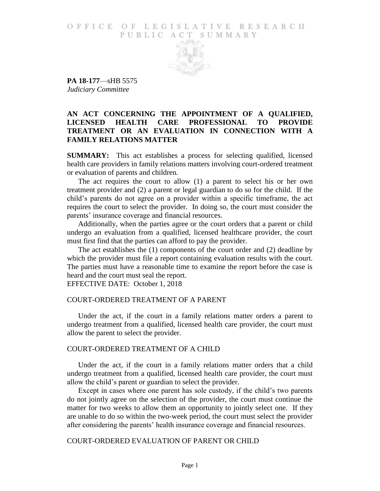#### O F FICE OF LEGISLATIVE RESEARCH PUBLIC ACT SUMMARY



**PA 18-177**—sHB 5575 *Judiciary Committee*

# **AN ACT CONCERNING THE APPOINTMENT OF A QUALIFIED, LICENSED HEALTH CARE PROFESSIONAL TO PROVIDE TREATMENT OR AN EVALUATION IN CONNECTION WITH A FAMILY RELATIONS MATTER**

**SUMMARY:** This act establishes a process for selecting qualified, licensed health care providers in family relations matters involving court-ordered treatment or evaluation of parents and children.

The act requires the court to allow (1) a parent to select his or her own treatment provider and (2) a parent or legal guardian to do so for the child. If the child's parents do not agree on a provider within a specific timeframe, the act requires the court to select the provider. In doing so, the court must consider the parents' insurance coverage and financial resources.

Additionally, when the parties agree or the court orders that a parent or child undergo an evaluation from a qualified, licensed healthcare provider, the court must first find that the parties can afford to pay the provider.

The act establishes the (1) components of the court order and (2) deadline by which the provider must file a report containing evaluation results with the court. The parties must have a reasonable time to examine the report before the case is heard and the court must seal the report.

EFFECTIVE DATE: October 1, 2018

#### COURT-ORDERED TREATMENT OF A PARENT

Under the act, if the court in a family relations matter orders a parent to undergo treatment from a qualified, licensed health care provider, the court must allow the parent to select the provider.

#### COURT-ORDERED TREATMENT OF A CHILD

Under the act, if the court in a family relations matter orders that a child undergo treatment from a qualified, licensed health care provider, the court must allow the child's parent or guardian to select the provider.

Except in cases where one parent has sole custody, if the child's two parents do not jointly agree on the selection of the provider, the court must continue the matter for two weeks to allow them an opportunity to jointly select one. If they are unable to do so within the two-week period, the court must select the provider after considering the parents' health insurance coverage and financial resources.

## COURT-ORDERED EVALUATION OF PARENT OR CHILD